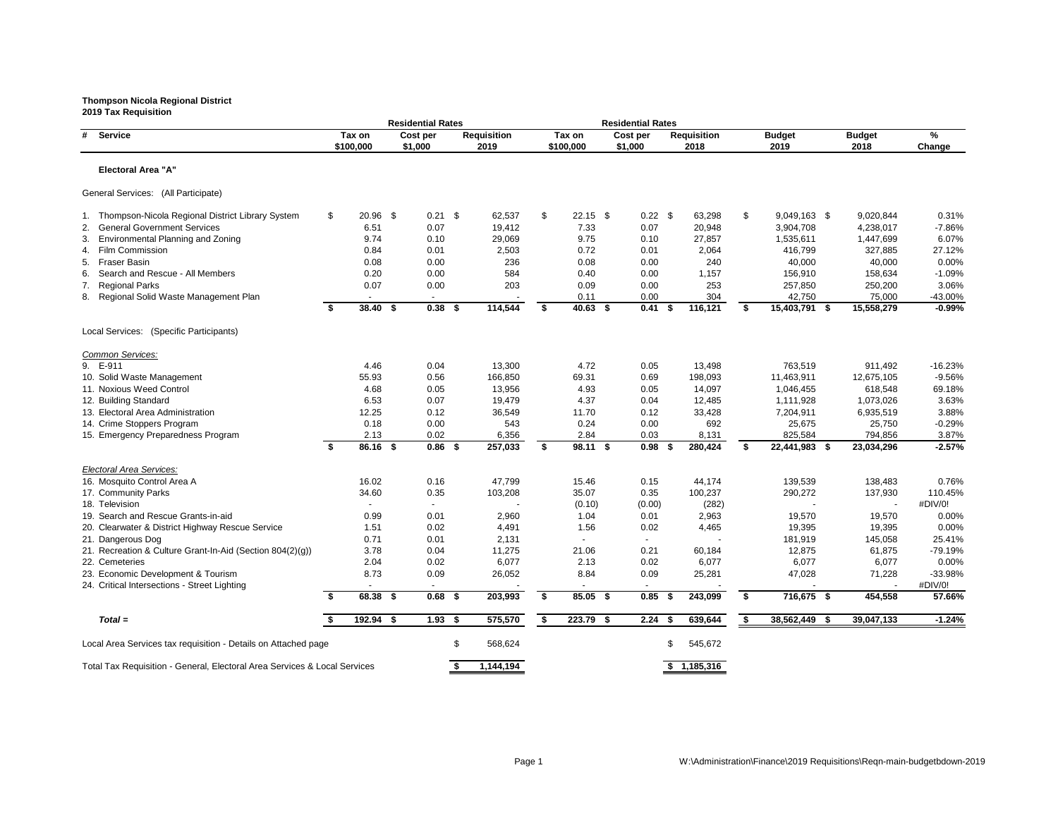**2019 Tax Requisition Residential Rates Residential Rates # Service Tax on Cost per Requisition Tax on Cost per Requisition Budget Budget % \$100,000 \$1,000 2019 \$100,000 \$1,000 2018 2019 2018 Change Electoral Area "A"** General Services: (All Participate) 1. Thompson-Nicola Regional District Library System  $$20.96 $0.21 $62,537 $22.15 $0.22 $63,298 $9,049,162.$ <br>19,412 7.33 0.07 20,948 3,904,7 2. General Government Services 6.51 6.51 6.51 0.07 19,412 7.33 0.07 20,948 3. Environmental Planning and Zoning and Toning 8.74 0.10 29,069 9.75 0.10 27,857 1,535,61 4. Film Commission 0.84 0.01 2,503 0.72 0.01 2,064 416,799 327,885 27.12% 5. Fraser Basin 0.08 0.00 236 0.08 0.00 40,000 40,000 0.00% 6. Search and Rescue - All Members **6. 20 156,9** 0.20 0.00 0.00 584 0.40 0.40 0.00 1,157 156,9 7. Regional Parks 0.07 0.00 203 0.09 0.00 253 257,850 250,200 3.06% 8. Regional Solid Waste Management Plan  $\sim$  - - - - - - - - - 0.11 0.00 304 304 42,7 **\$ 38.40 \$ 0.38 \$ 114,544 \$ 40.63 \$ 0.41 \$ 116,121 \$ 15,403,791 \$ 15,558,279 -0.99%** Local Services: (Specific Participants) *Common Services:* 9. E-911 4.46 0.04 13,300 4.72 0.05 13,498 763,519 911,492 -16.23% 10. Solid Waste Management 11,463,9<br>
11,463,9 11. Noxious Weed Control **1.046,4 1.046,4 4.68 13,956 13,956 1.046,4 1.046,4** 12. Building Standard 6.53 0.07 19,479 4.37 0.04 12,485 1,111,928 1,073,026 3.63% 13. Electoral Area Administration 12.25 0.12 36,549 11.70 0.12 33,428 7,204,9 14. Crime Stoppers Program  $0.18$  0.18  $0.00$  543  $0.24$  0.00 692 25,67 15. Emergency Preparedness Program 2.13 0.02 6,356 2.84 0.03 8,131 825,5 **\$ 86.16 \$ 0.86 \$ 257,033 \$ 98.11 \$ 0.98 \$ 280,424 \$ 22,441,983 \$ 23,034,296 -2.57%** *Electoral Area Services:* 16. Mosquito Control Area A 16.02 16.02 16.02 0.16 16.7799 15.46 0.15 44,174 139,53 17. Community Parks 34.60 0.35 103,208 35.07 0.35 100,237 290,272 137,930 110.45% 18. Television - (0.10) (0.00) (282) #DIV/0! 19. Search and Rescue Grants-in-aid **0.99** 0.01 2,960 1.04 0.01 2,963 19,570 1.04 20. Clearwater & District Highway Rescue Service **1.51** 0.02 4,491 1.56 0.02 4,465 19,395 19,395 21. Dangerous Dog 0.71 0.01 2,131 - 181,919 145,058 25.41% 21. Recreation & Culture Grant-In-Aid (Section 804(2)(g)) 3.78 0.04 11,275 21.06 0.21 60,184 12,87 22. Cemeteries 2.04 0.02 6,077 2.13 0.02 6,077 6,077 6,077 0.00% 23. Economic Development & Tourism **8.73** 8.73 0.09 26,052 8.84 0.09 25,281 47,02 24. Critical Intersections - Street Lighting **\$ 68.38 \$ 0.68 \$ 203,993 \$ 85.05 \$ 0.85 \$ 243,099 \$ 716,675 \$ 454,558 57.66%** *Total =* **\$ 192.94 \$ 1.93 \$ 575,570 \$ 223.79 \$ 2.24 \$ 639,644 \$ 38,562,449 \$ 39,047,133 -1.24%** Local Area Services tax requisition - Details on Attached page  $$568,624$  568,624 \$545,672

Total Tax Requisition - General, Electoral Area Services & Local Services **\$ 1,144,194 \$ 1,165,316 \$ 1,185,316** 

| 49              | \$<br>39,047,133 | $-1.24%$ |
|-----------------|------------------|----------|
| $\overline{7}5$ | \$<br>454,558    | 57.66%   |
|                 |                  | #DIV/0!  |
| 28              | 71,228           | -33.98%  |
| 77              | 6,077            | 0.00%    |
| 75              | 61,875           | -79.19%  |
| 19              | 145,058          | 25.41%   |
| 95              | 19,395           | $0.00\%$ |
| 70              | 19,570           | 0.00%    |
|                 |                  | #DIV/0!  |
| 72              | 137,930          | 110.45%  |
| 39              | 138,483          | 0.76%    |
| 83              | \$<br>23,034,296 | $-2.57%$ |
| 84              | 794,856          | 3.87%    |
| 75              | 25,750           | $-0.29%$ |
| 11              | 6,935,519        | 3.88%    |
| 28              | 1,073,026        | 3.63%    |
| 55              | 618,548          | 69.18%   |
| 11              | 12,675,105       | $-9.56%$ |
| 19              | 911,492          | -16.23%  |
|                 |                  |          |
| '91             | \$<br>15,558,279 | $-0.99%$ |
| 50              | 75,000           | -43.00%  |
| 50              | 250,200          | 3.06%    |
| 10              | 158,634          | $-1.09%$ |
| 00              | 40,000           | 0.00%    |
| '99             | 327,885          | 27.12%   |
| 11              | 1,447,699        | 6.07%    |
| 08              | 4,238,017        | $-7.86%$ |
| 63              | \$<br>9,020,844  | 0.31%    |
|                 |                  |          |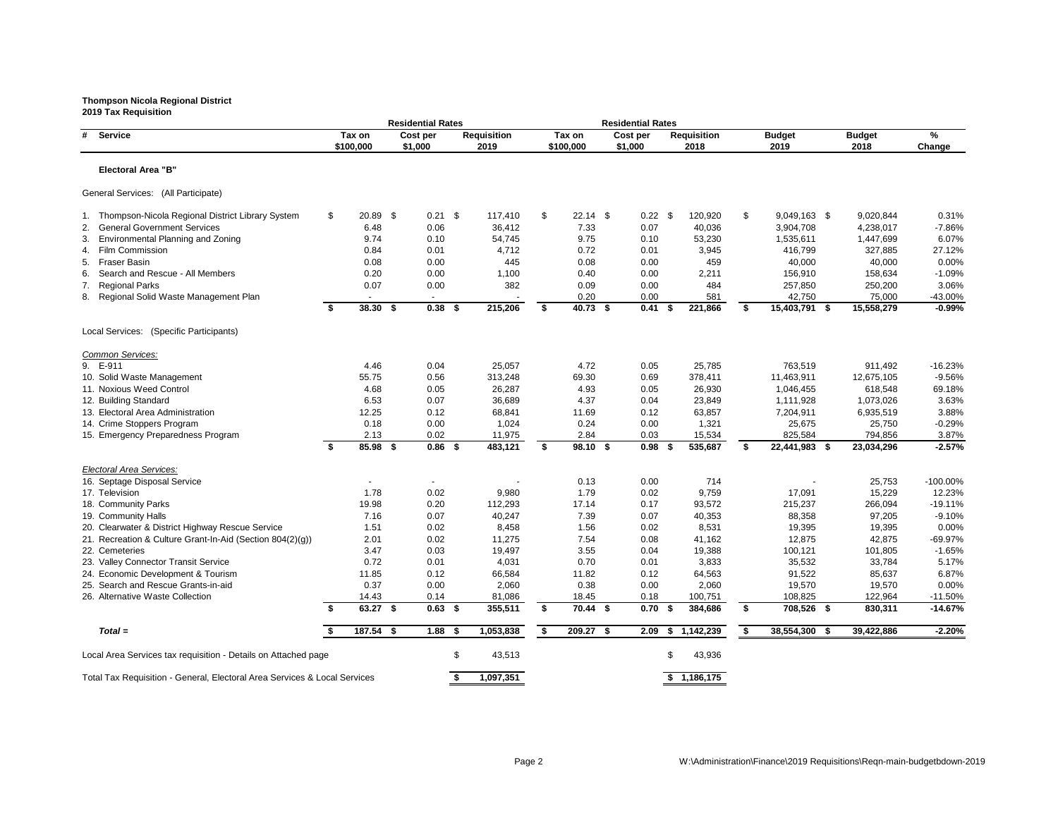### **Thompson Nicola Regional District 2019 Tax Requisition**

**Residential Rates Residential Rates # Service Tax on Cost per Requisition Tax on Cost per Requisition Budget Budget % \$100,000 \$1,000 2019 \$100,000 \$1,000 2018 2019 2018 Change Electoral Area "B"** General Services: (All Participate) 1. Thompson-Nicola Regional District Library System \$ 20.89 \$ 0.21 \$ 117,410 \$ 22.14 \$ 0.22 \$ 120,920 \$ 9,049,163 \$ 9,020,844 0.31% 2. General Government Services 6.48 6.48 6.48 0.06 36,412 7.33 0.07 40,036 3,904,7 3. Environmental Planning and Zoning and Toning 8.74 0.10 54,745 9.75 0.10 53,230 1,535,6 4. Film Commission 0.84 0.01 4,712 0.72 0.01 3,945 416,799 327,885 27.12% 5. Fraser Basin 0.08 0.00 445 0.08 0.00 459 40,000 40,000 0.00% 6. Search and Rescue - All Members **6. 20 1,100** 1,100 1,100 0.40 0.00 2,211 156,9 7. Regional Parks 0.07 0.00 382 0.09 0.00 484 257,850 250,200 3.06% 8. Regional Solid Waste Management Plan  $\sim$  - - - - - - - - - 0.20 0.00 581 581 42,7 **\$ 38.30 \$ 0.38 \$ 215,206 \$ 40.73 \$ 0.41 \$ 221,866 \$ 15,403,791 \$ 15,558,279 -0.99%** Local Services: (Specific Participants) *Common Services:* 9. E-911 4.46 0.04 25,057 4.72 0.05 25,785 763,519 911,492 -16.23% 10. Solid Waste Management 11,463,91 11,463,91 55.75 0.56 313,248 69.30 0.69 378,411 11,463,911 11. Noxious Weed Control **1.046,4** 26,930 1,046,4 26,987 1,046,455 61.05 61.046,455 61.046,455 61.046,455 61.046,4 12. Building Standard 6.53 0.07 36,689 4.37 0.04 23,849 1,111,928 1,073,026 3.63% 13. Electoral Area Administration 12.25 0.12 68,841 11.69 0.12 63,857 7,204,9 14. Crime Stoppers Program  $0.18$  0.18  $0.00$  1,024  $0.24$  0.24  $0.00$  1,321 25,6 15. Emergency Preparedness Program 2.13 0.02 11,975 2.84 0.03 15,534 825,5 **\$ 85.98 \$ 0.86 \$ 483,121 \$ 98.10 \$ 0.98 \$ 535,687 \$ 22,441,983 \$ 23,034,296 -2.57%** *Electoral Area Services:* 16. Septage Disposal Service and the state of the state of the state of the state of the state of the state of the state of the state of the state of the state of the state of the state of the state of the state of the sta 17. Television 1.78 0.02 9,980 1.79 0.02 9,759 17,091 15,229 12.23% 18. Community Parks 19.98 0.20 112,293 17.14 0.17 93,572 215,237 266,094 -19.11% 19. Community Halls 7.16 0.07 40,247 7.39 0.07 40,353 88,358 97,205 -9.10% 20. Clearwater & District Highway Rescue Service  $1.51$  0.02 8,458 1.56 0.02 8,531 19,3 21. Recreation & Culture Grant-In-Aid (Section 804(2)(g)) 2.01 0.02 11,275 7.54 0.08 41,162 12,8 22. Cemeteries 3.47 0.03 19,497 3.55 0.04 19,388 100,121 101,805 -1.65% 23. Valley Connector Transit Service 25,5<br>
23. Valley Connector Transit Service 25,5 24. Economic Development & Tourism **11.85** 0.12 66,584 11.82 0.12 64,563 91,5 25. Search and Rescue Grants-in-aid 0.37 0.00 2,060 0.38 0.00 2,060 19,570 19,570 0.00% 26. Alternative Waste Collection 14.43 14.43 14.43 120,88 1,086 18.45 18.45 100,751 108,8 **\$ 63.27 \$ 0.63 \$ 355,511 \$ 70.44 \$ 0.70 \$ 384,686 \$ 708,526 \$ 830,311 -14.67%** *Total =* **\$ 187.54 \$ 1.88 \$ 1,053,838 \$ 209.27 \$ 2.09 \$ 1,142,239 \$ 38,554,300 \$ 39,422,886 -2.20%**

Local Area Services tax requisition - Details on Attached page  $$ 43,513$   $$ 43,936$ 

Total Tax Requisition - General, Electoral Area Services & Local Services **\$ 1,097,351 \$ 1,186,175** 

|                |    | Buaget<br>2018 | ‰<br>Change     |
|----------------|----|----------------|-----------------|
|                |    |                |                 |
|                |    |                |                 |
|                |    |                |                 |
|                |    |                |                 |
|                |    |                |                 |
| 163            | \$ | 9,020,844      | 0.31%           |
| 708            |    | 4,238,017      | $-7.86%$        |
| 311            |    | 1,447,699      | 6.07%           |
| 799            |    | 327,885        | 27.12%          |
| )00            |    | 40,000         | 0.00%           |
| 910            |    | 158,634        | $-1.09%$        |
| 350            |    | 250,200        | 3.06%           |
| 750            |    | 75,000         | -43.00%         |
| 791            | \$ | 15,558,279     | $-0.99%$        |
|                |    |                |                 |
|                |    |                |                 |
|                |    |                |                 |
|                |    |                |                 |
| 519            |    | 911,492        | -16.23%         |
| 911            |    | 12,675,105     | $-9.56%$        |
| 155            |    | 618,548        | 69.18%          |
| 928            |    | 1,073,026      | 3.63%           |
| 911            |    | 6,935,519      | 3.88%           |
| 375            |    | 25,750         | $-0.29%$        |
| 584            |    | 794,856        | 3.87%           |
| 983            | \$ | 23,034,296     | $-2.57%$        |
|                |    |                |                 |
|                |    |                |                 |
|                |    | 25,753         | -100.00%        |
| )91            |    | 15,229         | 12.23%          |
| 237            |    | 266,094        | $-19.11%$       |
| 358            |    | 97,205         | $-9.10%$        |
| 395            |    | 19,395         | 0.00%           |
| 375            |    | 42,875         | -69.97%         |
| 121            |    | 101,805        | $-1.65%$        |
| 532            |    | 33,784         | 5.17%           |
| 522            |    | 85,637         | 6.87%           |
| 570            |    | 19,570         | $0.00\%$        |
| 325            |    | 122,964        | $-11.50%$       |
| 526            | \$ | 830,311        | $-14.67%$       |
|                |    |                |                 |
| $\overline{2}$ | œ  | 20, 422, 000   | 00 <sup>1</sup> |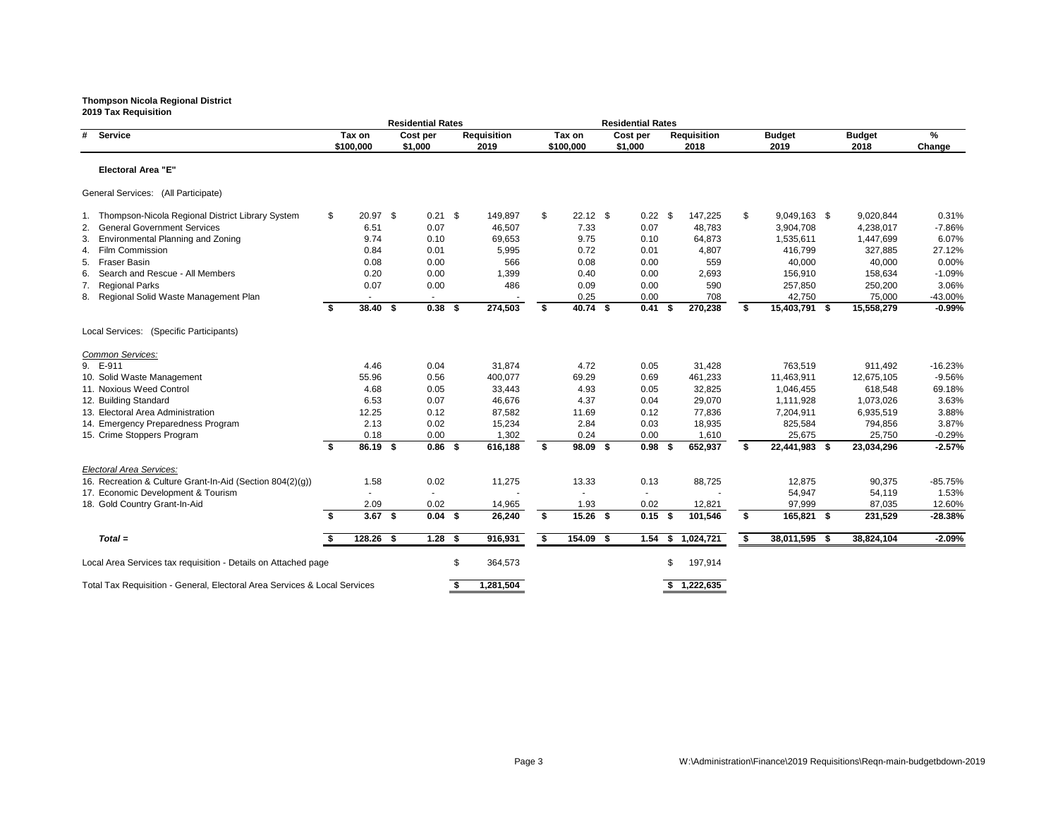### **Thompson Nicola Regional District 2019 Tax Requisition**

**Residential Rates**<br> **Residential Rates**<br> **Cost per** Requisition<br> **Residential Rates**<br> **Requisition**<br> **Requisition # Service Tax on Cost per Requisition Tax on Cost per Requisition Budget Budget % \$100,000 \$1,000 2019 \$100,000 \$1,000 2018 2019 2018 Change Electoral Area "E"** General Services: (All Participate) 1. Thompson-Nicola Regional District Library System  $$20.97 $0.21 $149,897 $22.12 $0.22 $12.3 $147,225 $ $9,049,16.507$$ <br>2. General Government Services 6.51 0.07 46,507 7.33 0.07 48,783 3,904,7 2. General Government Services 6.51 6.51 6.51 6.51 6.51 6.507 46,507 7.33 0.07 48,783 3,904,7 3. Environmental Planning and Zoning and Toning 8.74 0.10 69,653 9.75 0.10 64,873 1,535,61 4. Film Commission 0.84 0.01 5,995 0.72 0.01 4,807 416,799 327,885 27.12% 5. Fraser Basin 0.08 0.00 566 0.08 0.00 40,000 40,000 0.00% 6. Search and Rescue - All Members **6. 20 1,399** 0.00 1,399 0.40 0.00 2,693 156,9 7. Regional Parks 0.07 0.00 486 0.09 0.00 590 257,850 250,200 3.06% 8. Regional Solid Waste Management Plan  $\sim$  - - - - - - - 0.25 0.00 708 708 42,7 **\$ 38.40 \$ 0.38 \$ 274,503 \$ 40.74 \$ 0.41 \$ 270,238 \$ 15,403,791 \$ 15,558,279 -0.99%** Local Services: (Specific Participants) *Common Services:* 9. E-911 4.46 0.04 31,874 4.72 0.05 31,428 763,519 911,492 -16.23% 10. Solid Waste Management 55.96 0.56 400,077 69.29 0.69 461,233 11,463,911 12,675,105 -9.56% 11. Noxious Weed Control **1.046,4 4.68 1.046,4 4.68 1.046,45 1.046,45 4.93 1.046,456 61.046,45** 12. Building Standard 6.53 0.07 46,676 4.37 0.04 29,070 1,111,928 1,073,026 3.63% 13. Electoral Area Administration 12.25 0.12 87,582 11.69 0.12 77,836 7,204,91 14. Emergency Preparedness Program 2.13 0.02 15,234 2.84 0.03 18,935 825,58 15. Crime Stoppers Program  $0.18$  0.18  $0.00$  1,302  $0.24$  0.00 1,610 25,6 **\$ 86.19 \$ 0.86 \$ 616,188 \$ 98.09 \$ 0.98 \$ 652,937 \$ 22,441,983 \$ 23,034,296 -2.57%** *Electoral Area Services:* 16. Recreation & Culture Grant-In-Aid (Section 804(2)(g))  $1.58$  0.02 11,275 13.33 0.13 88,725 88,725 12,87 17. Economic Development & Tourism - - - - - - 54,947 54,119 1.53% 18. Gold Country Grant-In-Aid **2.09** 2.09 0.02 14,965 1.93 0.02 12,821 97,9 **\$ 3.67 \$ 0.04 \$ 26,240 \$ 15.26 \$ 0.15 \$ 101,546 \$ 165,821 \$ 231,529 -28.38%** *Total =* **\$ 128.26 \$ 1.28 \$ 916,931 \$ 154.09 \$ 1.54 \$ 1,024,721 \$ 38,011,595 \$ 38,824,104 -2.09%** Local Area Services tax requisition - Details on Attached page  $$364,573$   $$364,573$  \$197,914 Total Tax Requisition - General, Electoral Area Services & Local Services **\$ 1,281,504 \$ 1,222,635**

|                | <b>Budget</b>    | %                 |
|----------------|------------------|-------------------|
|                | 2018             | Change            |
|                |                  |                   |
|                |                  |                   |
|                |                  |                   |
|                |                  |                   |
|                |                  |                   |
| 63             | \$<br>9,020,844  | 0.31%             |
| 08<br>11       | 4,238,017        | $-7.86%$          |
| '99            | 1,447,699        | 6.07%<br>27.12%   |
|                | 327,885          |                   |
| 00<br>10       | 40,000           | 0.00%             |
| 50             | 158,634          | $-1.09%$<br>3.06% |
|                | 250,200          |                   |
| 50<br>91       | \$<br>75,000     | -43.00%           |
|                | 15,558,279       | $-0.99%$          |
|                |                  |                   |
|                |                  |                   |
|                |                  |                   |
| 19             | 911,492          | -16.23%           |
| 11             | 12,675,105       | $-9.56%$          |
| 55             | 618,548          | 69.18%            |
| 28             | 1,073,026        | 3.63%             |
| 11             | 6,935,519        | 3.88%             |
| 84             | 794,856          | 3.87%             |
| $\frac{75}{2}$ | 25,750           | $-0.29%$          |
| 83             | \$<br>23,034,296 | $-2.57%$          |
|                |                  |                   |
|                |                  |                   |
| 75             | 90,375           | $-85.75%$         |
| 47             | 54,119           | 1.53%             |
| 199            | 87,035           | 12.60%            |
| 21             | \$<br>231,529    | $-28.38%$         |
|                |                  |                   |
| 95             | \$<br>38,824,104 | $-2.09%$          |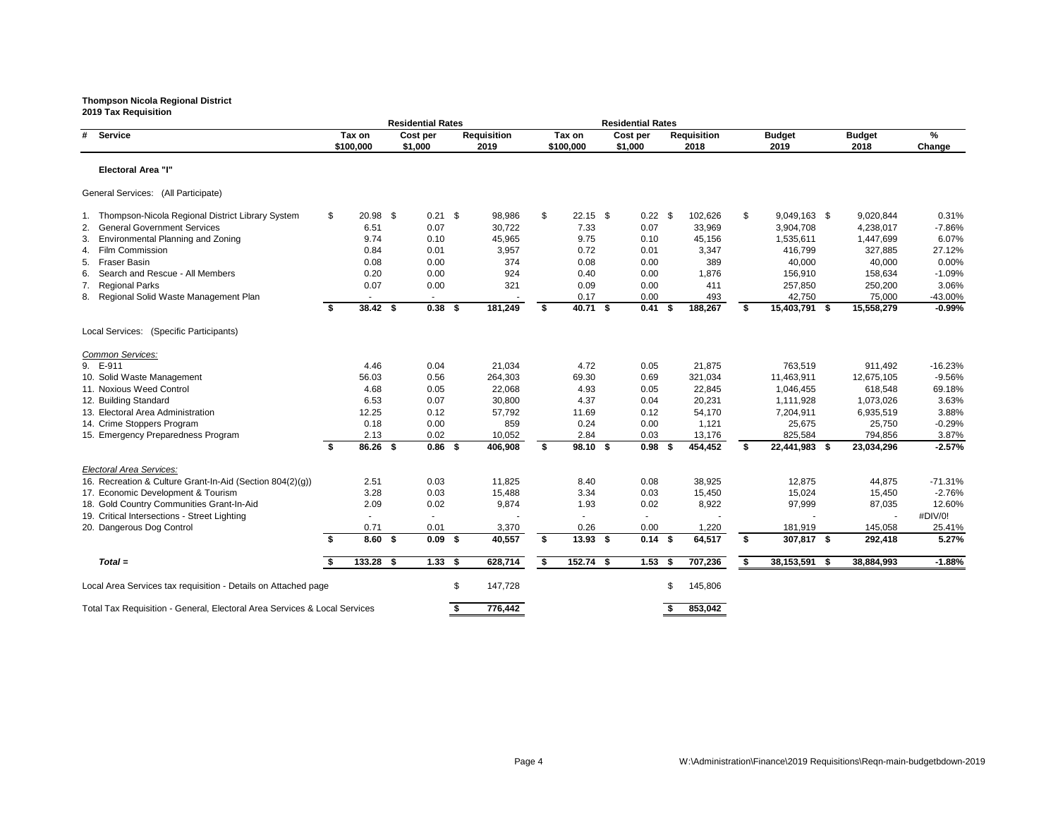**2019 Tax Requisition Residential Rates**<br> **Residential Rates**<br> **Cost per** Requisition<br> **Residential Rates**<br> **Requisition**<br> **Requisition # Service Tax on Cost per Requisition Tax on Cost per Requisition Budget Budget % \$100,000 \$1,000 2019 \$100,000 \$1,000 2018 2019 2018 Change Electoral Area "I"** General Services: (All Participate) 1. Thompson-Nicola Regional District Library System  $$20.98 $0.21 $98,986 $22.15 $0.22 $102,626 $9,049,162.$ <br>1. General Government Services 6.51 0.07 30,722 7.33 0.07 33,969 3,904,7 2. General Government Services 6.51 6.51 0.07 30,722 7.33 0.07 33,969 3. Environmental Planning and Zoning and Toning 8.74 0.10 45,965 9.75 0.10 45,156 1,535,61 4. Film Commission 0.84 0.01 3,957 0.72 0.01 3,347 416,799 327,885 27.12% 5. Fraser Basin 0.08 0.00 374 0.08 0.00 40,000 40,000 0.00% 6. Search and Rescue - All Members **6. 20 156,9** 0.20 0.00 0.00 0.20 0.40 0.40 0.00 1,876 156,9 7. Regional Parks 0.07 0.00 321 0.09 0.00 411 257,850 250,200 3.06% 8. Regional Solid Waste Management Plan  $\sim$  - - - - - - - - - 0.17 0.00 493 42,7 **\$ 38.42 \$ 0.38 \$ 181,249 \$ 40.71 \$ 0.41 \$ 188,267 \$ 15,403,791 \$ 15,558,279 -0.99%** Local Services: (Specific Participants) *Common Services:* 9. E-911 4.46 0.04 21,034 4.72 0.05 21,875 763,519 911,492 -16.23% 10. Solid Waste Management 11,463,9<br>
11,463,9 11. Noxious Weed Control **1.046,4** 2.68 1,046,456 61.05 22,068 4.93 6.05 22,845 61,046,456 61,046,45 12. Building Standard 6.53 0.07 30,800 4.37 0.04 20,231 1,111,928 1,073,026 3.63% 13. Electoral Area Administration 12.25 0.12 57,792 11.69 0.12 54,170 7,204,91 14. Crime Stoppers Program  $0.18$  0.18  $0.00$  859  $0.24$  0.00  $1,121$  25,67 15. Emergency Preparedness Program 2.13 0.02 10,052 2.84 0.03 13,176 825,5 **\$ 86.26 \$ 0.86 \$ 406,908 \$ 98.10 \$ 0.98 \$ 454,452 \$ 22,441,983 \$ 23,034,296 -2.57%** *Electoral Area Services:* 16. Recreation & Culture Grant-In-Aid (Section 804(2)(g))  $2.51$  0.03 11,825 8.40 0.08 38,925 38,925 12,87 17. Economic Development & Tourism  $3.28$   $3.28$   $0.03$   $15,488$   $3.34$   $0.03$   $15,450$   $15,02$ 18. Gold Country Communities Grant-In-Aid  $2.09$  0.02 9,874 1.93 0.02 8,922 87,99 19. Critical Intersections - Street Lighting and the street of the street of the street Eighting and the street Eighting and the street Eighting and the street Eighting and the street Eighting and the street Eighting and t 20. Dangerous Dog Control **181,9**<br>
3.60 \$ 0.09 \$ 40,557 \$ 13.93 \$ 0.14 \$ 64,517 \$ 307,8 **\$ 8.60 \$ 0.09 \$ 40,557 \$ 13.93 \$ 0.14 \$ 64,517 \$ 307,817 \$ 292,418 5.27%** *Total =* **\$ 133.28 \$ 1.33 \$ 628,714 \$ 152.74 \$ 1.53 \$ 707,236 \$ 38,153,591 \$ 38,884,993 -1.88%** Local Area Services tax requisition - Details on Attached page  $$ 147,728$  \$ 145,806

Total Tax Requisition - General, Electoral Area Services & Local Services **\$ 776,442 \$ 853,042** 

|            | <b>Budget</b>     | %                |
|------------|-------------------|------------------|
|            | 2018              | Change           |
|            |                   |                  |
|            |                   |                  |
|            |                   |                  |
|            |                   |                  |
|            |                   |                  |
| 63         | \$<br>9,020,844   | 0.31%            |
| 08         | 4,238,017         | $-7.86%$         |
| 11         | 1,447,699         | 6.07%            |
| '99        | 327,885           | 27.12%           |
| 00         | 40,000            | 0.00%            |
| 10<br>50   | 158,634           | $-1.09%$         |
| 50         | 250,200<br>75,000 | 3.06%<br>-43.00% |
| <b>'91</b> | \$<br>15,558,279  | $-0.99%$         |
|            |                   |                  |
|            |                   |                  |
|            |                   |                  |
|            |                   |                  |
| 19         | 911,492           | -16.23%          |
| 11         | 12,675,105        | $-9.56%$         |
| 55         | 618,548           | 69.18%           |
| 28         | 1,073,026         | 3.63%            |
| 11         | 6,935,519         | 3.88%            |
| 75         | 25,750            | $-0.29%$         |
| 84         | 794,856           | 3.87%            |
| 83         | \$<br>23,034,296  | $-2.57%$         |
|            |                   |                  |
|            |                   |                  |
| :75        | 44,875            | -71.31%          |
| 24         | 15,450            | $-2.76%$         |
| 199        | 87,035            | 12.60%           |
|            |                   | #DIV/0!          |
| 19<br>17   | 145,058           | 25.41%           |
|            | \$<br>292,418     | 5.27%            |
|            |                   |                  |
| 91         | \$<br>38,884,993  | $-1.88%$         |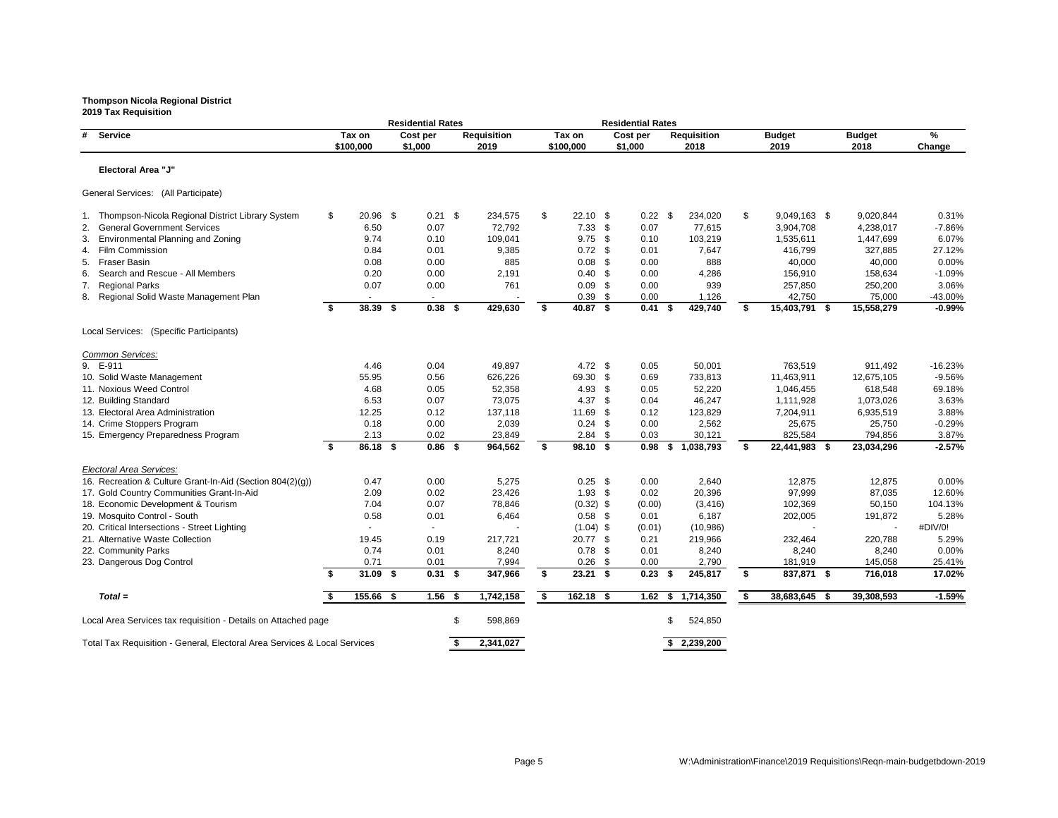|                                                                           | <b>Residential Rates</b> |             |          |           |    |                    |        | <b>Residential Rates</b> |               |                |      |                    |    |               |  |               |           |
|---------------------------------------------------------------------------|--------------------------|-------------|----------|-----------|----|--------------------|--------|--------------------------|---------------|----------------|------|--------------------|----|---------------|--|---------------|-----------|
| <b>Service</b><br>#                                                       | Tax on                   |             | Cost per |           |    | <b>Requisition</b> | Tax on |                          |               | Cost per       |      | <b>Requisition</b> |    | <b>Budget</b> |  | <b>Budget</b> | %         |
|                                                                           |                          | \$100,000   |          | \$1,000   |    | 2019               |        | \$100,000                |               | \$1,000        |      | 2018               |    | 2019          |  | 2018          | Change    |
| <b>Electoral Area "J"</b>                                                 |                          |             |          |           |    |                    |        |                          |               |                |      |                    |    |               |  |               |           |
| General Services: (All Participate)                                       |                          |             |          |           |    |                    |        |                          |               |                |      |                    |    |               |  |               |           |
| Thompson-Nicola Regional District Library System                          | \$                       | $20.96$ \$  |          | $0.21$ \$ |    | 234,575            | \$     | $22.10$ \$               |               | $0.22$ \$      |      | 234,020            | \$ | 9,049,163 \$  |  | 9,020,844     | 0.31%     |
| <b>General Government Services</b>                                        |                          | 6.50        |          | 0.07      |    | 72,792             |        | 7.33                     | \$            | 0.07           |      | 77,615             |    | 3,904,708     |  | 4,238,017     | $-7.86%$  |
| <b>Environmental Planning and Zoning</b><br>3.                            |                          | 9.74        |          | 0.10      |    | 109,041            |        | 9.75                     | \$            | 0.10           |      | 103,219            |    | 1,535,611     |  | 1,447,699     | 6.07%     |
| <b>Film Commission</b><br>4.                                              |                          | 0.84        |          | 0.01      |    | 9,385              |        | $0.72$ \$                |               | 0.01           |      | 7,647              |    | 416,799       |  | 327,885       | 27.12%    |
| <b>Fraser Basin</b><br>5.                                                 |                          | 0.08        |          | 0.00      |    | 885                |        | 0.08                     | \$            | 0.00           |      | 888                |    | 40,000        |  | 40,000        | 0.00%     |
| Search and Rescue - All Members<br>6.                                     |                          | 0.20        |          | 0.00      |    | 2,191              |        | 0.40                     | \$            | 0.00           |      | 4,286              |    | 156,910       |  | 158,634       | $-1.09%$  |
| <b>Regional Parks</b><br>7.                                               |                          | 0.07        |          | 0.00      |    | 761                |        | 0.09                     | \$            | 0.00           |      | 939                |    | 257,850       |  | 250,200       | 3.06%     |
| 8. Regional Solid Waste Management Plan                                   |                          |             |          |           |    |                    |        | 0.39                     | \$            | 0.00           |      | 1,126              |    | 42,750        |  | 75,000        | -43.00%   |
|                                                                           | Ŝ.                       | $38.39$ \$  |          | $0.38$ \$ |    | 429,630            | \$     | 40.87 \$                 |               | $0.41 \quad $$ |      | 429,740            | \$ | 15,403,791 \$ |  | 15,558,279    | $-0.99%$  |
| Local Services: (Specific Participants)                                   |                          |             |          |           |    |                    |        |                          |               |                |      |                    |    |               |  |               |           |
| Common Services:                                                          |                          |             |          |           |    |                    |        |                          |               |                |      |                    |    |               |  |               |           |
| 9. E-911                                                                  |                          | 4.46        |          | 0.04      |    | 49,897             |        | 4.72 $$$                 |               | 0.05           |      | 50,001             |    | 763,519       |  | 911,492       | $-16.23%$ |
| 10. Solid Waste Management                                                |                          | 55.95       |          | 0.56      |    | 626,226            |        | 69.30                    | \$            | 0.69           |      | 733,813            |    | 11,463,911    |  | 12,675,105    | $-9.56%$  |
| 11. Noxious Weed Control                                                  |                          | 4.68        |          | 0.05      |    | 52,358             |        | 4.93                     | \$            | 0.05           |      | 52,220             |    | 1,046,455     |  | 618,548       | 69.18%    |
| 12. Building Standard                                                     |                          | 6.53        |          | 0.07      |    | 73,075             |        | 4.37                     | \$            | 0.04           |      | 46,247             |    | 1,111,928     |  | 1,073,026     | 3.63%     |
| 13. Electoral Area Administration                                         |                          | 12.25       |          | 0.12      |    | 137,118            |        | 11.69                    | \$            | 0.12           |      | 123,829            |    | 7,204,911     |  | 6,935,519     | 3.88%     |
| 14. Crime Stoppers Program                                                |                          | 0.18        |          | 0.00      |    | 2,039              |        | 0.24                     | -\$           | 0.00           |      | 2,562              |    | 25,675        |  | 25,750        | $-0.29%$  |
| 15. Emergency Preparedness Program                                        |                          | 2.13        |          | 0.02      |    | 23,849             |        | 2.84                     | \$            | 0.03           |      | 30,121             |    | 825,584       |  | 794,856       | 3.87%     |
|                                                                           | Ŝ.                       | 86.18 \$    |          | $0.86$ \$ |    | 964,562            | \$     | 98.10 \$                 |               | 0.98           | -S   | 1,038,793          | \$ | 22,441,983 \$ |  | 23,034,296    | $-2.57%$  |
| Electoral Area Services:                                                  |                          |             |          |           |    |                    |        |                          |               |                |      |                    |    |               |  |               |           |
| 16. Recreation & Culture Grant-In-Aid (Section 804(2)(g))                 |                          | 0.47        |          | 0.00      |    | 5,275              |        | 0.25                     | $\mathfrak s$ | 0.00           |      | 2,640              |    | 12,875        |  | 12,875        | 0.00%     |
| 17. Gold Country Communities Grant-In-Aid                                 |                          | 2.09        |          | 0.02      |    | 23,426             |        | 1.93                     | \$            | 0.02           |      | 20,396             |    | 97,999        |  | 87,035        | 12.60%    |
| 18. Economic Development & Tourism                                        |                          | 7.04        |          | 0.07      |    | 78,846             |        | $(0.32)$ \$              |               | (0.00)         |      | (3, 416)           |    | 102,369       |  | 50,150        | 104.13%   |
| 19. Mosquito Control - South                                              |                          | 0.58        |          | 0.01      |    | 6,464              |        | $0.58$ \$                |               | 0.01           |      | 6,187              |    | 202,005       |  | 191,872       | 5.28%     |
| 20. Critical Intersections - Street Lighting                              |                          |             |          |           |    |                    |        | $(1.04)$ \$              |               | (0.01)         |      | (10, 986)          |    |               |  |               | #DIV/0!   |
| 21. Alternative Waste Collection                                          |                          | 19.45       |          | 0.19      |    | 217,721            |        | 20.77 \$                 |               | 0.21           |      | 219,966            |    | 232,464       |  | 220,788       | 5.29%     |
| 22. Community Parks                                                       |                          | 0.74        |          | 0.01      |    | 8,240              |        | $0.78$ \$                |               | 0.01           |      | 8,240              |    | 8,240         |  | 8,240         | 0.00%     |
| 23. Dangerous Dog Control                                                 |                          | 0.71        |          | 0.01      |    | 7,994              |        | $0.26$ \$                |               | 0.00           |      | 2,790              |    | 181,919       |  | 145,058       | 25.41%    |
|                                                                           | - \$                     | $31.09$ \$  |          | $0.31$ \$ |    | 347,966            | \$     | $23.21$ \$               |               | $0.23$ \$      |      | 245,817            | \$ | 837,871 \$    |  | 716,018       | 17.02%    |
| $Total =$                                                                 |                          | $155.66$ \$ |          | $1.56$ \$ |    | 1,742,158          | \$     | $162.18$ \$              |               | 1.62           | - 56 | 1,714,350          | \$ | 38,683,645 \$ |  | 39,308,593    | $-1.59%$  |
| Local Area Services tax requisition - Details on Attached page            |                          |             |          |           | \$ | 598,869            |        |                          |               |                | S    | 524,850            |    |               |  |               |           |
| Total Tax Requisition - General, Electoral Area Services & Local Services |                          |             |          |           | -S | 2,341,027          |        |                          |               |                |      | \$2,239,200        |    |               |  |               |           |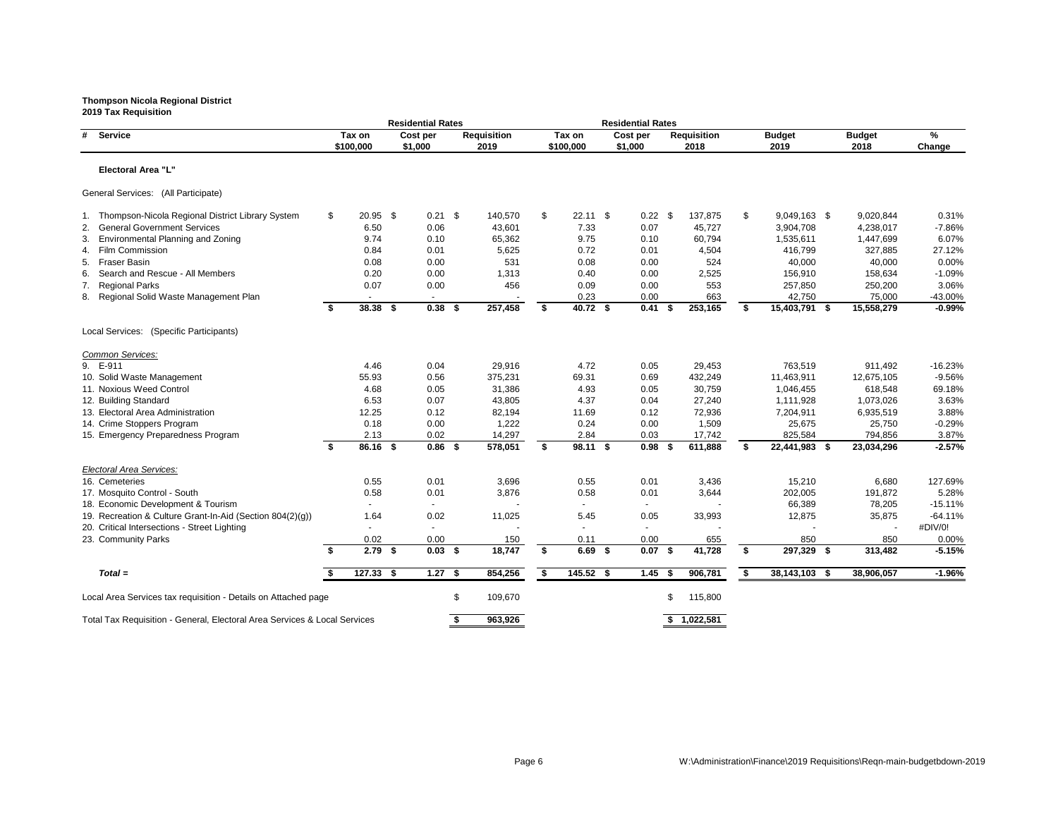|                                                                           | <b>Residential Rates</b> |                          |  |                     |    |                            |    | <b>Residential Rates</b> |  |                     |      |                            |    |                       |                       |             |
|---------------------------------------------------------------------------|--------------------------|--------------------------|--|---------------------|----|----------------------------|----|--------------------------|--|---------------------|------|----------------------------|----|-----------------------|-----------------------|-------------|
| <b>Service</b><br>#                                                       |                          | Tax on<br>\$100,000      |  | Cost per<br>\$1,000 |    | <b>Requisition</b><br>2019 |    | Tax on<br>\$100,000      |  | Cost per<br>\$1,000 |      | <b>Requisition</b><br>2018 |    | <b>Budget</b><br>2019 | <b>Budget</b><br>2018 | %<br>Change |
| <b>Electoral Area "L"</b>                                                 |                          |                          |  |                     |    |                            |    |                          |  |                     |      |                            |    |                       |                       |             |
| General Services: (All Participate)                                       |                          |                          |  |                     |    |                            |    |                          |  |                     |      |                            |    |                       |                       |             |
| Thompson-Nicola Regional District Library System                          | \$                       | $20.95$ \$               |  | $0.21$ \$           |    | 140,570                    | \$ | $22.11$ \$               |  | $0.22$ \$           |      | 137,875                    | \$ | $9,049,163$ \$        | 9,020,844             | 0.31%       |
| <b>General Government Services</b>                                        |                          | 6.50                     |  | 0.06                |    | 43,601                     |    | 7.33                     |  | 0.07                |      | 45,727                     |    | 3,904,708             | 4,238,017             | $-7.86%$    |
| <b>Environmental Planning and Zoning</b><br>3.                            |                          | 9.74                     |  | 0.10                |    | 65,362                     |    | 9.75                     |  | 0.10                |      | 60,794                     |    | 1,535,611             | 1,447,699             | 6.07%       |
| <b>Film Commission</b><br>4.                                              |                          | 0.84                     |  | 0.01                |    | 5,625                      |    | 0.72                     |  | 0.01                |      | 4,504                      |    | 416,799               | 327,885               | 27.12%      |
| <b>Fraser Basin</b><br>5.                                                 |                          | 0.08                     |  | 0.00                |    | 531                        |    | 0.08                     |  | 0.00                |      | 524                        |    | 40,000                | 40,000                | 0.00%       |
| Search and Rescue - All Members<br>6.                                     |                          | 0.20                     |  | 0.00                |    | 1,313                      |    | 0.40                     |  | 0.00                |      | 2,525                      |    | 156,910               | 158,634               | $-1.09%$    |
| <b>Regional Parks</b><br>7.                                               |                          | 0.07                     |  | 0.00                |    | 456                        |    | 0.09                     |  | 0.00                |      | 553                        |    | 257,850               | 250,200               | 3.06%       |
| 8. Regional Solid Waste Management Plan                                   |                          |                          |  |                     |    |                            |    | 0.23                     |  | 0.00                |      | 663                        |    | 42,750                | 75,000                | -43.00%     |
|                                                                           | Ŝ.                       | $38.38$ \$               |  | $0.38$ \$           |    | 257,458                    | \$ | 40.72 \$                 |  | 0.41                | - \$ | 253,165                    | \$ | 15,403,791 \$         | 15,558,279            | $-0.99%$    |
| Local Services: (Specific Participants)                                   |                          |                          |  |                     |    |                            |    |                          |  |                     |      |                            |    |                       |                       |             |
| Common Services:                                                          |                          |                          |  |                     |    |                            |    |                          |  |                     |      |                            |    |                       |                       |             |
| 9. E-911                                                                  |                          | 4.46                     |  | 0.04                |    | 29,916                     |    | 4.72                     |  | 0.05                |      | 29,453                     |    | 763,519               | 911,492               | $-16.23%$   |
| 10. Solid Waste Management                                                |                          | 55.93                    |  | 0.56                |    | 375,231                    |    | 69.31                    |  | 0.69                |      | 432,249                    |    | 11,463,911            | 12,675,105            | $-9.56%$    |
| 11. Noxious Weed Control                                                  |                          | 4.68                     |  | 0.05                |    | 31,386                     |    | 4.93                     |  | 0.05                |      | 30,759                     |    | 1,046,455             | 618,548               | 69.18%      |
| 12. Building Standard                                                     |                          | 6.53                     |  | 0.07                |    | 43,805                     |    | 4.37                     |  | 0.04                |      | 27,240                     |    | 1,111,928             | 1,073,026             | 3.63%       |
| 13. Electoral Area Administration                                         |                          | 12.25                    |  | 0.12                |    | 82,194                     |    | 11.69                    |  | 0.12                |      | 72,936                     |    | 7,204,911             | 6,935,519             | 3.88%       |
| 14. Crime Stoppers Program                                                |                          | 0.18                     |  | 0.00                |    | 1,222                      |    | 0.24                     |  | 0.00                |      | 1,509                      |    | 25,675                | 25,750                | $-0.29%$    |
| 15. Emergency Preparedness Program                                        |                          | 2.13                     |  | 0.02                |    | 14,297                     |    | 2.84                     |  | 0.03                |      | 17,742                     |    | 825,584               | 794,856               | 3.87%       |
|                                                                           | Ŝ.                       | 86.16 \$                 |  | $0.86$ \$           |    | 578,051                    | \$ | 98.11 \$                 |  | 0.98 <sup>5</sup>   |      | 611,888                    | \$ | 22,441,983 \$         | 23,034,296            | $-2.57%$    |
| <b>Electoral Area Services:</b>                                           |                          |                          |  |                     |    |                            |    |                          |  |                     |      |                            |    |                       |                       |             |
| 16. Cemeteries                                                            |                          | 0.55                     |  | 0.01                |    | 3,696                      |    | 0.55                     |  | 0.01                |      | 3,436                      |    | 15,210                | 6,680                 | 127.69%     |
| 17. Mosquito Control - South                                              |                          | 0.58                     |  | 0.01                |    | 3,876                      |    | 0.58                     |  | 0.01                |      | 3,644                      |    | 202,005               | 191,872               | 5.28%       |
| 18. Economic Development & Tourism                                        |                          | $\overline{\phantom{a}}$ |  |                     |    |                            |    | $\sim$                   |  |                     |      |                            |    | 66,389                | 78,205                | $-15.11%$   |
| 19. Recreation & Culture Grant-In-Aid (Section 804(2)(g))                 |                          | 1.64                     |  | 0.02                |    | 11,025                     |    | 5.45                     |  | 0.05                |      | 33,993                     |    | 12,875                | 35,875                | $-64.11%$   |
| 20. Critical Intersections - Street Lighting                              |                          |                          |  |                     |    |                            |    |                          |  |                     |      |                            |    |                       |                       | #DIV/0!     |
| 23. Community Parks                                                       |                          | 0.02                     |  | 0.00                |    | 150                        |    | 0.11                     |  | 0.00                |      | 655                        |    | 850                   | 850                   | 0.00%       |
|                                                                           | - \$                     | $2.79$ \$                |  | $0.03$ \$           |    | 18,747                     | \$ | $6.69$ \$                |  | $0.07$ \$           |      | 41,728                     | \$ | 297,329 \$            | 313,482               | $-5.15%$    |
| $Total =$                                                                 |                          | $127.33$ \$              |  | $1.27$ \$           |    | 854,256                    | S. | 145.52 \$                |  | $1.45$ \$           |      | 906,781                    | \$ | 38, 143, 103 \$       | 38,906,057            | $-1.96%$    |
| Local Area Services tax requisition - Details on Attached page            |                          |                          |  |                     | \$ | 109,670                    |    |                          |  |                     | S    | 115,800                    |    |                       |                       |             |
| Total Tax Requisition - General, Electoral Area Services & Local Services |                          |                          |  |                     |    | 963,926                    |    |                          |  |                     |      | \$1,022,581                |    |                       |                       |             |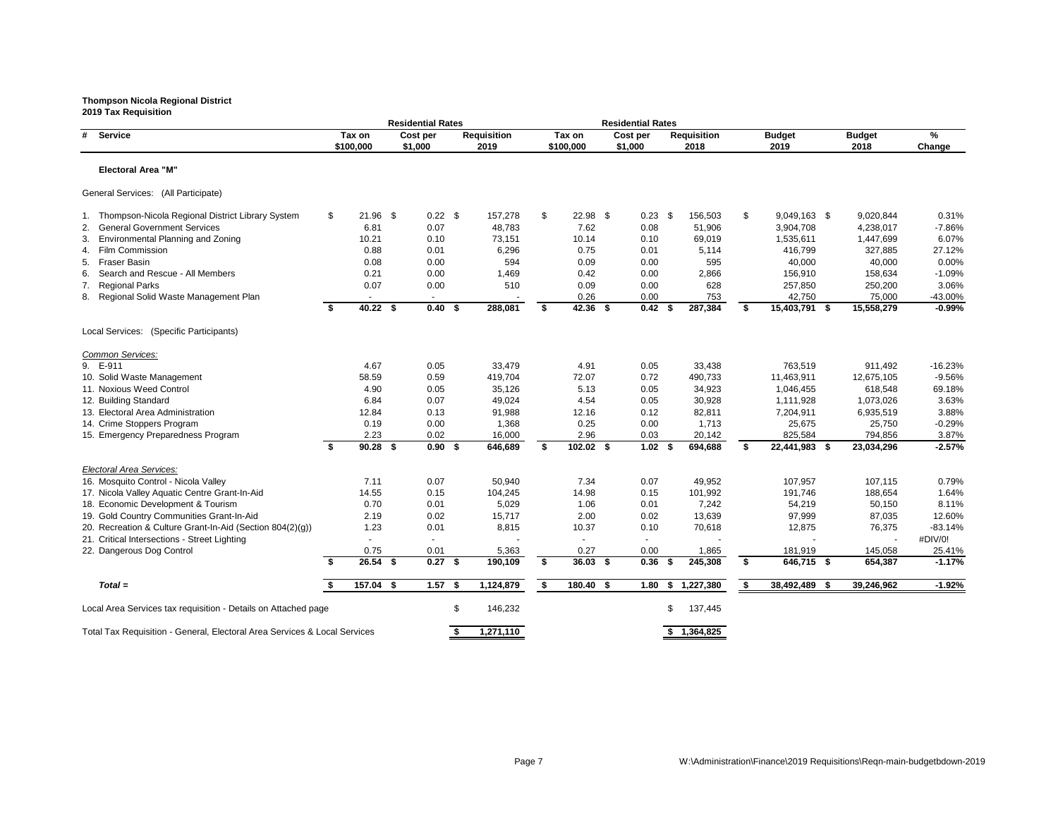**Residential Rates Residential Rates # Service Tax on Cost per Requisition Tax on Cost per Requisition Budget Budget % \$100,000 \$1,000 2019 \$100,000 \$1,000 2018 2019 2018 Change Electoral Area "M"** General Services: (All Participate) 1. Thompson-Nicola Regional District Library System  $$$  21.96 \$  $0.22$  \$  $$$  157,278 \$ 22.98 \$  $0.23$  \$ 156,503 \$ 9,049,163 \$ 9,049,163 \$ 9,049,783 \$ 9,049,783 \$ 9,049,762 0.08 51,906 \$ 3,904,763 2. General Government Services 6.81 6.81 6.81 0.07 48,783 7.62 0.08 51,906 3. Environmental Planning and Zoning 2001 0.21 10.21 0.10 73,151 10.14 0.10 69,019 1,535,6 4. Film Commission 0.88 0.01 6,296 0.75 0.01 5,114 416,799 327,885 27.12% 5. Fraser Basin 0.08 0.00 594 0.09 0.00 40,000 40,000 0.00% 6. Search and Rescue - All Members **6. 201 1,469** 1,469 0.42 0.00 2,866 156,9 7. Regional Parks 0.07 0.00 510 0.09 0.00 628 257,850 250,200 3.06% 8. Regional Solid Waste Management Plan  $\sim$  - - - - - - - - - 0.26 0.00 753 753 42,7 **\$ 40.22 \$ 0.40 \$ 288,081 \$ 42.36 \$ 0.42 \$ 287,384 \$ 15,403,791 \$ 15,558,279 -0.99%** Local Services: (Specific Participants) *Common Services:* 9. E-911 4.67 0.05 33,479 4.91 0.05 33,438 763,519 911,492 -16.23% 10. Solid Waste Management 58.59 0.59 419,704 72.07 0.72 490,733 11,463,911 12,675,105 -9.56% 11. Noxious Weed Control 1.046,4 (1.046,4  $\sim$  4.90 0.05 35,126 5.13 0.05 34,923 1,046,4 12. Building Standard 6.84 0.07 49,024 4.54 0.05 30,928 1,111,928 1,073,026 3.63% 13. Electoral Area Administration 12.84 12.84 0.13 91,988 12.16 0.12 82,811 7,204,9 14. Crime Stoppers Program  $0.19$   $0.00$   $1,368$   $0.25$   $0.00$   $1,713$   $25,6$ 15. Emergency Preparedness Program 2.23 0.02 16,000 2.96 0.03 20,142 825,5 **\$ 90.28 \$ 0.90 \$ 646,689 \$ 102.02 \$ 1.02 \$ 694,688 \$ 22,441,983 \$ 23,034,296 -2.57%** *Electoral Area Services:* 16. Mosquito Control - Nicola Valley 107,9 17. Nicola Valley Aquatic Centre Grant-In-Aid 14.55 0.15 104,245 14.98 0.15 101,992 191,7 18. Economic Development & Tourism  $0.70$  0.01  $5,029$  1.06 0.01 7,242 54,2 19. Gold Country Communities Grant-In-Aid  $2.19$  0.02 15,717 2.00 0.02 13,639 97,9 20. Recreation & Culture Grant-In-Aid (Section 804(2)(g))  $1.23$  0.01 8,815 10.37 0.10 70,618 12,8 21. Critical Intersections - Street Lighting - - - - - - - - #DIV/0! 22. Dangerous Dog Control 2001 0.75 0.01 5,363 0.27 0.00 1,865 181,9 **\$ 26.54 \$ 0.27 \$ 190,109 \$ 36.03 \$ 0.36 \$ 245,308 \$ 646,715 \$ 654,387 -1.17%** *Total =* **\$ 157.04 \$ 1.57 \$ 1,124,879 \$ 180.40 \$ 1.80 \$ 1,227,380 \$ 38,492,489 \$ 39,246,962 -1.92%** Local Area Services tax requisition - Details on Attached page  $$ 146,232$  \$ 137,445

Total Tax Requisition - General, Electoral Area Services & Local Services **\$ 1,271,110 \$ 1,364,825** 

|                  | <b>Budget</b>    | ℅         |
|------------------|------------------|-----------|
|                  | 2018             | Change    |
|                  |                  |           |
|                  |                  |           |
|                  |                  |           |
|                  |                  |           |
|                  |                  |           |
| 63               | \$<br>9,020,844  | 0.31%     |
| '08              | 4,238,017        | $-7.86%$  |
| 311              | 1,447,699        | 6.07%     |
| '99              | 327,885          | 27.12%    |
| )00              | 40,000           | 0.00%     |
| 10               | 158,634          | -1.09%    |
| 850              | 250,200          | 3.06%     |
| 50               | 75,000           | -43.00%   |
| '91              | \$<br>15,558,279 | -0.99%    |
|                  |                  |           |
|                  |                  |           |
|                  |                  |           |
|                  |                  |           |
| 19ء              | 911,492          | $-16.23%$ |
| 11               | 12,675,105       | $-9.56%$  |
| 55               | 618,548          | 69.18%    |
| 128              | 1,073,026        | 3.63%     |
| 11               | 6,935,519        | 3.88%     |
| 575              | 25,750           | $-0.29%$  |
| 84               | 794,856          | 3.87%     |
| 183              | \$<br>23,034,296 | $-2.57%$  |
|                  |                  |           |
|                  |                  |           |
| 157              | 107,115          | 0.79%     |
| '46              | 188,654          | 1.64%     |
| :19              | 50,150           | 8.11%     |
| 199              | 87,035           | 12.60%    |
| 375              | 76,375           | $-83.14%$ |
|                  |                  | #DIV/0!   |
| 19               | 145,058          | 25.41%    |
| $\overline{1}$ 5 | \$<br>654,387    | -1.17%    |
|                  |                  |           |
| 89               | \$<br>39,246,962 | $-1.92%$  |

### **Thompson Nicola Regional District 2019 Tax Requisition**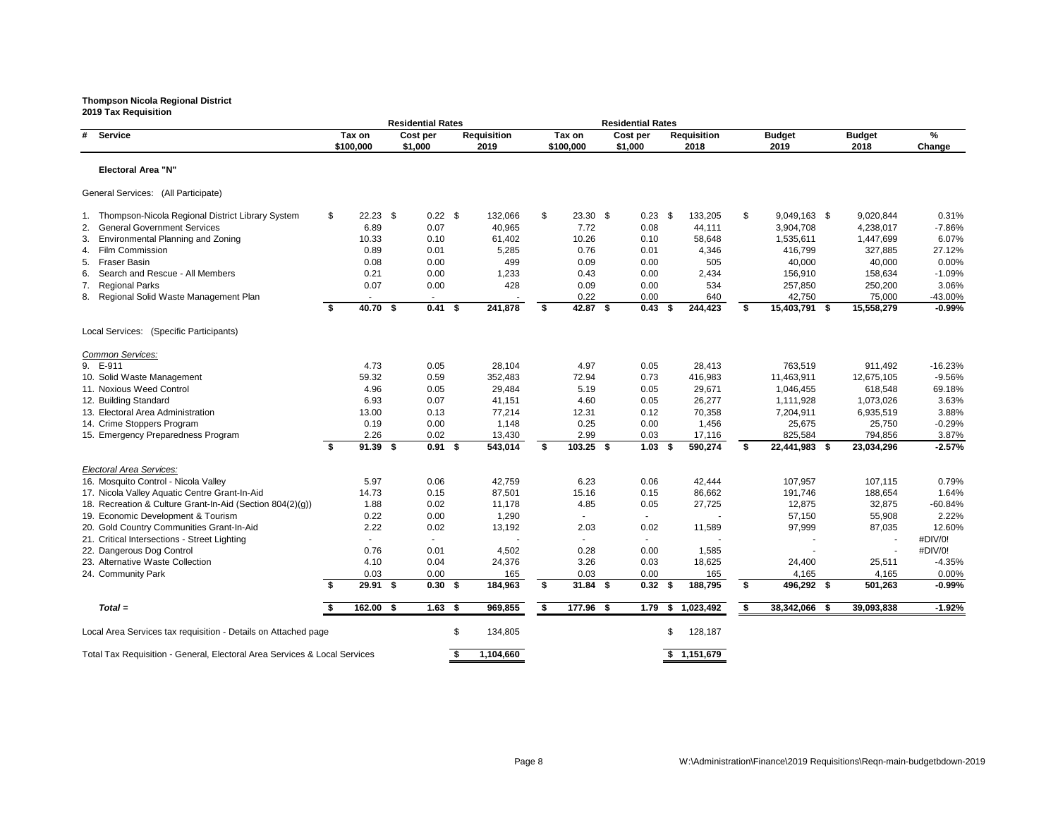**Residential Rates Residential Rates # Service Tax on Cost per Requisition Tax on Cost per Requisition Budget Budget % \$100,000 \$1,000 2019 \$100,000 \$1,000 2018 2019 2018 Change Electoral Area "N"** General Services: (All Participate) 1. Thompson-Nicola Regional District Library System  $\frac{1}{3}$   $\frac{22.23}{3}$   $\frac{1}{32}$ , 0.22 \$  $\frac{132,066}{40,965}$   $\frac{1}{32}$ , 0.23 \$ 133,205 \$ 9,049,163  $\frac{1}{3}$ , 9049,168  $\frac{1}{3}$ , 9049,168  $\frac{1}{3}$ , 904,7 2. General Government Services 6.89 6.89 6.89 6.89 6.89 6.89 40,965 7.72 0.08 44,111 3. Environmental Planning and Zoning 2001 0.33 10.33 0.10 61,402 10.26 0.10 58,648 1,535,6 4. Film Commission 0.89 0.01 5,285 0.76 0.01 4,346 416,799 327,885 27.12% 5. Fraser Basin 0.08 0.00 499 0.09 0.00 40,000 40,000 0.00% 6. Search and Rescue - All Members **6. 201 1.233** 0.43 0.00 2,434 156,910 1,233 7. Regional Parks 0.07 0.00 428 0.09 0.00 534 257,850 250,200 3.06% 8. Regional Solid Waste Management Plan - - - - - - - - - - - - - - - - - 0.22 0.00 640 640 642, **\$ 40.70 \$ 0.41 \$ 241,878 \$ 42.87 \$ 0.43 \$ 244,423 \$ 15,403,791 \$ 15,558,279 -0.99%** Local Services: (Specific Participants) *Common Services:* 9. E-911 4.73 0.05 28,104 4.97 0.05 28,413 763,519 911,492 -16.23% 10. Solid Waste Management 11,463,9 11. Noxious Weed Control 1.046,4 (1.05 29,484 5.19 1,046,486 61.19 6.05 6.19 5.19 1,046,455 618,548 12. Building Standard 6.93 0.07 41,151 4.60 0.05 26,277 1,111,928 1,073,026 3.63% 13. Electoral Area Administration 13.00 13.00 13.00 0.13 17,214 12.31 0.12 70,358 7,204,9<br>14. Crime Stoppers Program 16,19 0.00 1,148 0.25 0.00 1,456 25.6 14. Crime Stoppers Program  $0.19$   $0.00$   $1,148$   $0.25$   $0.00$   $1,456$   $25,6$ 15. Emergency Preparedness Program  $2.26$  0.02 13,430 2.99 0.03 17,116 825,5 **\$ 91.39 \$ 0.91 \$ 543,014 \$ 103.25 \$ 1.03 \$ 590,274 \$ 22,441,983 \$ 23,034,296 -2.57%** *Electoral Area Services:* 16. Mosquito Control - Nicola Valley 107,9 6.97 5.97 6.23 6.23 6.23 6.23 6.244 107,9 17. Nicola Valley Aquatic Centre Grant-In-Aid 14.73 0.15 87,501 15.16 0.15 86,662 191,7 18. Recreation & Culture Grant-In-Aid (Section 804(2)(g))  $1.88$  0.02 11,178 4.85 0.05 27,725 27,725 12,8 19. Economic Development & Tourism 0.22 0.00 1,290 - - - 57,150 55,908 2.22% 20. Gold Country Communities Grant-In-Aid 2.22 0.02 13,192 2.03 0.02 11,589 97,9 21. Critical Intersections - Street Lighting - - - - - - - - #DIV/0! 22. Dangerous Dog Control **1,585** 0.76 0.01 4,502 0.28 0.28 0.00 1,585 23. Alternative Waste Collection **24,40** 1.10 0.04 24,376 3.26 0.03 18,625 24,4 24. Community Park 0.03 0.00 165 0.00 165 4,165 4,165 0.00% **\$ 29.91 \$ 0.30 \$ 184,963 \$ 31.84 \$ 0.32 \$ 188,795 \$ 496,292 \$ 501,263 -0.99%** *Total =* **\$ 162.00 \$ 1.63 \$ 969,855 \$ 177.96 \$ 1.79 \$ 1,023,492 \$ 38,342,066 \$ 39,093,838 -1.92%** Local Area Services tax requisition - Details on Attached page  $\sim$  \$ 134,805 \$ 134,805 \$ 128,187

Total Tax Requisition - General, Electoral Area Services & Local Services **\$ 1,104,660 \$ 1,104,660 \$ 1,151,679** 

|     | Budget<br>2018   | ‰<br>Change |
|-----|------------------|-------------|
|     |                  |             |
|     |                  |             |
|     |                  |             |
|     |                  |             |
|     |                  |             |
| 163 | \$<br>9,020,844  | 0.31%       |
| 708 | 4,238,017        | -7.86%      |
| 311 | 1,447,699        | 6.07%       |
| 799 | 327,885          | 27.12%      |
| 000 | 40,000           | $0.00\%$    |
| 910 | 158,634          | $-1.09%$    |
| 350 | 250,200          | 3.06%       |
| 750 | 75,000           | -43.00%     |
| 791 | \$<br>15,558,279 | $-0.99%$    |
|     |                  |             |
|     |                  |             |
|     |                  |             |
|     |                  |             |
| 519 | 911,492          | -16.23%     |
| 911 | 12,675,105       | $-9.56%$    |
| 455 | 618,548          | 69.18%      |
| 928 | 1,073,026        | 3.63%       |
| 911 | 6,935,519        | 3.88%       |
| 375 | 25,750           | $-0.29%$    |
| 584 | 794,856          | 3.87%       |
| 983 | \$<br>23,034,296 | $-2.57%$    |
|     |                  |             |
| 957 | 107,115          | 0.79%       |
| 746 | 188,654          | 1.64%       |
| 375 | 32,875           | -60.84%     |
| 150 | 55,908           | 2.22%       |
| 999 | 87,035           | 12.60%      |
|     |                  | #DIV/0!     |
|     |                  | #DIV/0!     |
| 400 | 25,511           | $-4.35%$    |
| 165 | 4,165            | $0.00\%$    |
| 292 | \$<br>501,263    | $-0.99%$    |
|     |                  |             |
| 166 | \$<br>39 093 838 | $-1.92%$    |

### **Thompson Nicola Regional District 2019 Tax Requisition**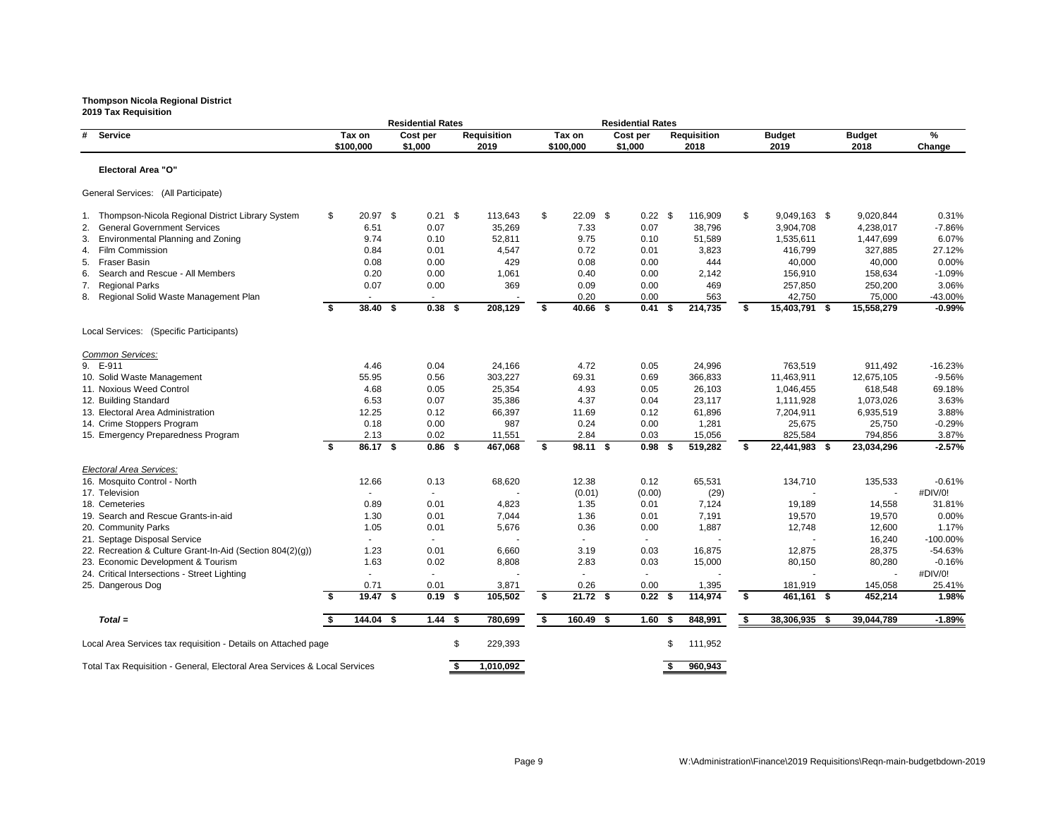**Residential Rates Residential Rates # Service Tax on Cost per Requisition Tax on Cost per Requisition Budget Budget % \$100,000 \$1,000 2019 \$100,000 \$1,000 2018 2019 2018 Change Electoral Area "O"** General Services: (All Participate) 1. Thompson-Nicola Regional District Library System \$ 20.97 \$ 0.21 \$ 113,643 \$ 22.09 \$ 0.22 \$ 116,909 \$ 9,049,163 \$ 9,020,844 0.31% 2. General Government Services 6.51 6.51 0.07 35,269 7.33 0.07 38,796 3. Environmental Planning and Zoning and Toning 8.74 0.10 52,811 9.75 0.10 51,589 1,535, 4. Film Commission 0.84 0.01 4,547 0.72 0.01 3,823 416,799 327,885 27.12% 5. Fraser Basin 0.08 0.00 429 0.08 0.00 444 40,000 40,000 0.00% 6. Search and Rescue - All Members **6. 20 1.000** 1,061 0.40 0.00 2,142 156, 7. Regional Parks 0.07 0.00 369 0.09 0.00 469 257,850 250,200 3.06% 8. Regional Solid Waste Management Plan  $\sim$  - - - - - - - - 0.20 0.00 563 563 42, **\$ 38.40 \$ 0.38 \$ 208,129 \$ 40.66 \$ 0.41 \$ 214,735 \$ 15,403,791 \$ 15,558,279 -0.99%** Local Services: (Specific Participants) *Common Services:* 9. E-911 4.46 0.04 24,166 4.72 0.05 24,996 763,519 911,492 -16.23% 10. Solid Waste Management 1.463, 1.463, 1.463, 1.463, 1.463, 1.463, 1.463, 1.463, 1.463, 1.463, 1.463, 1.463, 11. Noxious Weed Control 19 1,046, 1990 1,046, 1,046, 1,046, 1,046, 1,046, 1,046, 1,046, 1,046, 1,05 12. Building Standard 6.53 0.07 35,386 4.37 0.04 23,117 1,111,928 1,073,026 3.63% 13. Electoral Area Administration 12.25 12.25 0.12 66,397 11.69 0.12 61,896 7,204, 14. Crime Stoppers Program  $0.18$  0.00 987 0.24 0.00 1,281 25, 15. Emergency Preparedness Program 2.13 0.02 11,551 2.84 0.03 15,056 825, **\$ 86.17 \$ 0.86 \$ 467,068 \$ 98.11 \$ 0.98 \$ 519,282 \$ 22,441,983 \$ 23,034,296 -2.57%** *Electoral Area Services:* 16. Mosquito Control - North 134, **12.66** 12.66 0.13 68,620 12.38 0.12 65,531 134, 17. Television - - - (0.01) (0.00) (29) - - #DIV/0! 18. Cemeteries 0.89 0.01 4,823 1.35 0.01 7,124 19,189 14,558 31.81% 19. Search and Rescue Grants-in-aid **1.30** 1.30 0.01 7,044 1.36 0.01 7,191 7,191 19, 20. Community Parks 1.05 0.01 5,676 0.36 0.00 1,887 12,748 12,600 1.17% 21. Septage Disposal Service - - - - - - - 16,240 -100.00% 22. Recreation & Culture Grant-In-Aid (Section 804(2)(g))  $1.23$  0.01 6,660 3.19 0.03 16,875 12, 23. Economic Development & Tourism **1.63** 1.63 0.02 8,808 2.83 0.03 15,000 80, 24. Critical Intersections - Street Lighting - - - - - - - - #DIV/0! 25. Dangerous Dog 0.71 0.01 3,871 0.26 0.00 1,395 181,919 145,058 25.41% **\$ 19.47 \$ 0.19 \$ 105,502 \$ 21.72 \$ 0.22 \$ 114,974 \$ 461,161 \$ 452,214 1.98%** *Total =* **\$ 144.04 \$ 1.44 \$ 780,699 \$ 160.49 \$ 1.60 \$ 848,991 \$ 38,306,935 \$ 39,044,789 -1.89%** Local Area Services tax requisition - Details on Attached page  $$229,393$  \$111,952

Total Tax Requisition - General, Electoral Area Services & Local Services **\$ 1,010,092 \$ 960,943** 

| ሰኃድ | ¢  | ה פ<br><b>011700</b> | 1000/     |
|-----|----|----------------------|-----------|
| 161 | \$ | 452,214              | 1.98%     |
| 919 |    | 145,058              | 25.41%    |
|     |    |                      | #DIV/0!   |
| 150 |    | 80,280               | $-0.16%$  |
| 875 |    | 28,375               | $-54.63%$ |
|     |    | 16,240               | -100.00%  |
| 748 |    | 12,600               | 1.17%     |
| 570 |    | 19,570               | 0.00%     |
| 189 |    | 14,558               | 31.81%    |
|     |    |                      | #DIV/0!   |
| 710 |    | 135,533              | -0.61%    |
| 983 | \$ | 23,034,296           | $-2.57%$  |
| 584 |    | 794,856              | 3.87%     |
| 675 |    | 25,750               | $-0.29%$  |
| 911 |    | 6,935,519            | 3.88%     |
| 928 |    | 1,073,026            | 3.63%     |
| 455 |    | 618,548              | 69.18%    |
| 911 |    | 12,675,105           | -9.56%    |
| 519 |    | 911,492              | -16.23%   |
| 791 | \$ | 15,558,279           | $-0.99\%$ |
| 750 |    | 75,000               | -43.00%   |
| 850 |    | 250,200              | 3.06%     |
| 910 |    | 158,634              | $-1.09%$  |
| 000 |    | 40,000               | 0.00%     |
| 799 |    | 327,885              | 27.12%    |
| 611 |    | 1,447,699            | 6.07%     |
| 708 |    | 4,238,017            | -7.86%    |
| 163 | \$ | 9,020,844            | 0.31%     |
|     |    |                      |           |

### **Thompson Nicola Regional District 2019 Tax Requisition**